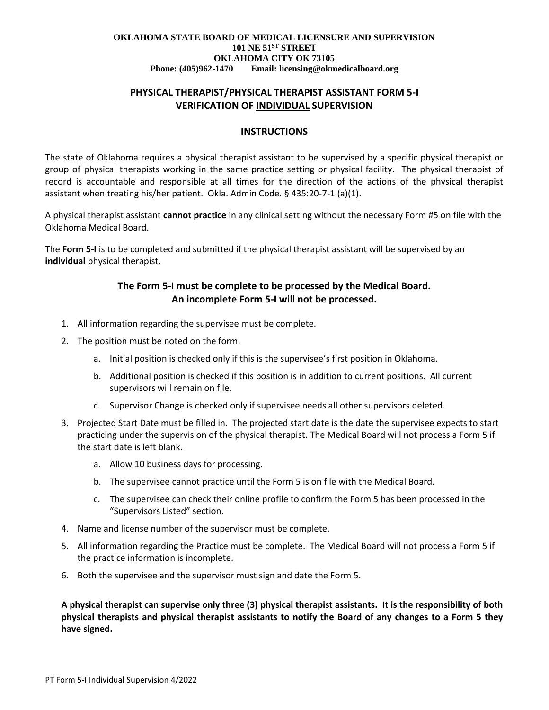#### **OKLAHOMA STATE BOARD OF MEDICAL LICENSURE AND SUPERVISION 101 NE 51ST STREET OKLAHOMA CITY OK 73105 Phone: (405)962-1470 Email: licensing@okmedicalboard.org**

## **PHYSICAL THERAPIST/PHYSICAL THERAPIST ASSISTANT FORM 5-I VERIFICATION OF INDIVIDUAL SUPERVISION**

### **INSTRUCTIONS**

The state of Oklahoma requires a physical therapist assistant to be supervised by a specific physical therapist or group of physical therapists working in the same practice setting or physical facility. The physical therapist of record is accountable and responsible at all times for the direction of the actions of the physical therapist assistant when treating his/her patient. Okla. Admin Code. § 435:20-7-1 (a)(1).

A physical therapist assistant **cannot practice** in any clinical setting without the necessary Form #5 on file with the Oklahoma Medical Board.

The **Form 5-I** is to be completed and submitted if the physical therapist assistant will be supervised by an **individual** physical therapist.

### **The Form 5-I must be complete to be processed by the Medical Board. An incomplete Form 5-I will not be processed.**

- 1. All information regarding the supervisee must be complete.
- 2. The position must be noted on the form.
	- a. Initial position is checked only if this is the supervisee's first position in Oklahoma.
	- b. Additional position is checked if this position is in addition to current positions. All current supervisors will remain on file.
	- c. Supervisor Change is checked only if supervisee needs all other supervisors deleted.
- 3. Projected Start Date must be filled in. The projected start date is the date the supervisee expects to start practicing under the supervision of the physical therapist. The Medical Board will not process a Form 5 if the start date is left blank.
	- a. Allow 10 business days for processing.
	- b. The supervisee cannot practice until the Form 5 is on file with the Medical Board.
	- c. The supervisee can check their online profile to confirm the Form 5 has been processed in the "Supervisors Listed" section.
- 4. Name and license number of the supervisor must be complete.
- 5. All information regarding the Practice must be complete. The Medical Board will not process a Form 5 if the practice information is incomplete.
- 6. Both the supervisee and the supervisor must sign and date the Form 5.

**A physical therapist can supervise only three (3) physical therapist assistants. It is the responsibility of both physical therapists and physical therapist assistants to notify the Board of any changes to a Form 5 they have signed.**